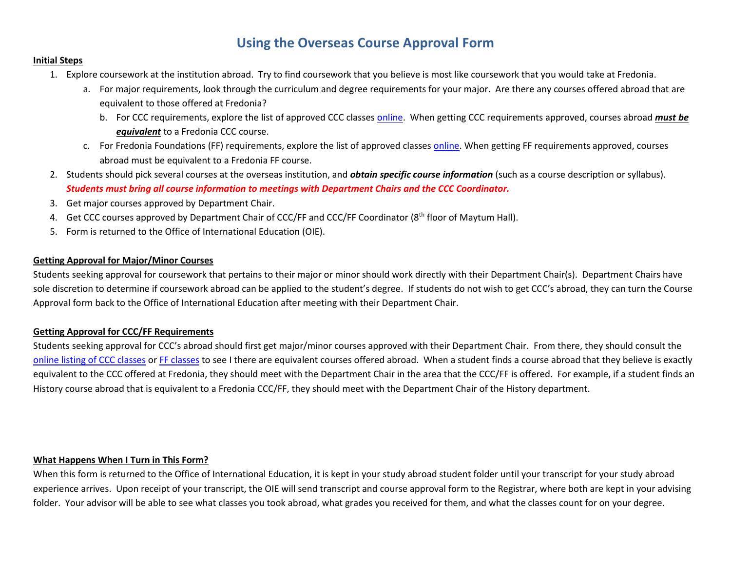# **Using the Overseas Course Approval Form**

#### **Initial Steps**

- 1. Explore coursework at the institution abroad. Try to find coursework that you believe is most like coursework that you would take at Fredonia.
	- a. For major requirements, look through the curriculum and degree requirements for your major. Are there any courses offered abroad that are equivalent to those offered at Fredonia?
		- b. For CCC requirements, explore the list of approved CCC classe[s online.](https://docs.google.com/a/fredonia.edu/spreadsheet/ccc?key=0AhiigJtkJ_9adFc2TVZZTUpndlBRMzJrdVJ1SlotU3c&usp=sharing#gid=0) When getting CCC requirements approved, courses abroad *must be equivalent* to a Fredonia CCC course.
	- c. For Fredonia Foundations (FF) requirements, explore the list of approved classe[s online.](https://www.fredonia.edu/academics/academic-advising/fredonia-foundation-classes-category) When getting FF requirements approved, courses abroad must be equivalent to a Fredonia FF course.
- 2. Students should pick several courses at the overseas institution, and *obtain specific course information* (such as a course description or syllabus). *Students must bring all course information to meetings with Department Chairs and the CCC Coordinator.*
- 3. Get major courses approved by Department Chair.
- 4. Get CCC courses approved by Department Chair of CCC/FF and CCC/FF Coordinator (8<sup>th</sup> floor of Maytum Hall).
- 5. Form is returned to the Office of International Education (OIE).

## **Getting Approval for Major/Minor Courses**

Students seeking approval for coursework that pertains to their major or minor should work directly with their Department Chair(s). Department Chairs have sole discretion to determine if coursework abroad can be applied to the student's degree. If students do not wish to get CCC's abroad, they can turn the Course Approval form back to the Office of International Education after meeting with their Department Chair.

## **Getting Approval for CCC/FF Requirements**

Students seeking approval for CCC's abroad should first get major/minor courses approved with their Department Chair. From there, they should consult the [online listing of CCC classes](https://docs.google.com/a/fredonia.edu/spreadsheet/ccc?key=0AhiigJtkJ_9adFc2TVZZTUpndlBRMzJrdVJ1SlotU3c&usp=sharing#gid=0) o[r FF classes](https://www.fredonia.edu/academics/academic-advising/fredonia-foundation-classes-category) to see I there are equivalent courses offered abroad. When a student finds a course abroad that they believe is exactly equivalent to the CCC offered at Fredonia, they should meet with the Department Chair in the area that the CCC/FF is offered. For example, if a student finds an History course abroad that is equivalent to a Fredonia CCC/FF, they should meet with the Department Chair of the History department.

#### **What Happens When I Turn in This Form?**

When this form is returned to the Office of International Education, it is kept in your study abroad student folder until your transcript for your study abroad experience arrives. Upon receipt of your transcript, the OIE will send transcript and course approval form to the Registrar, where both are kept in your advising folder. Your advisor will be able to see what classes you took abroad, what grades you received for them, and what the classes count for on your degree.